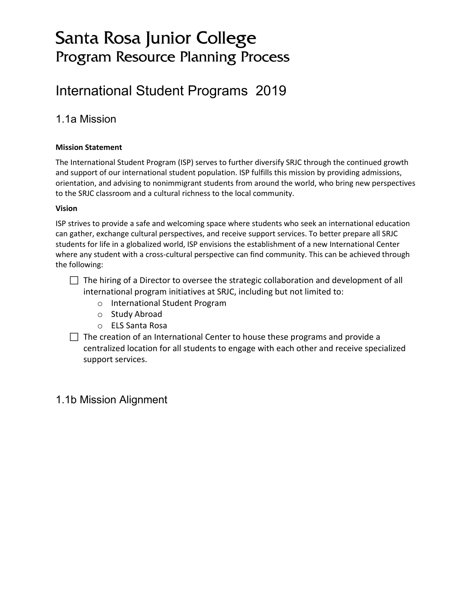# Santa Rosa Junior College Program Resource Planning Process

# International Student Programs 2019

# 1.1a Mission

#### **Mission Statement**

The International Student Program (ISP) serves to further diversify SRJC through the continued growth and support of our international student population. ISP fulfills this mission by providing admissions, orientation, and advising to nonimmigrant students from around the world, who bring new perspectives to the SRJC classroom and a cultural richness to the local community.

#### **Vision**

ISP strives to provide a safe and welcoming space where students who seek an international education can gather, exchange cultural perspectives, and receive support services. To better prepare all SRJC students for life in a globalized world, ISP envisions the establishment of a new International Center where any student with a cross-cultural perspective can find community. This can be achieved through the following:

 $\Box$  The hiring of a Director to oversee the strategic collaboration and development of all international program initiatives at SRJC, including but not limited to:

- o International Student Program
- o Study Abroad
- o ELS Santa Rosa

 $\Box$  The creation of an International Center to house these programs and provide a centralized location for all students to engage with each other and receive specialized support services.

## 1.1b Mission Alignment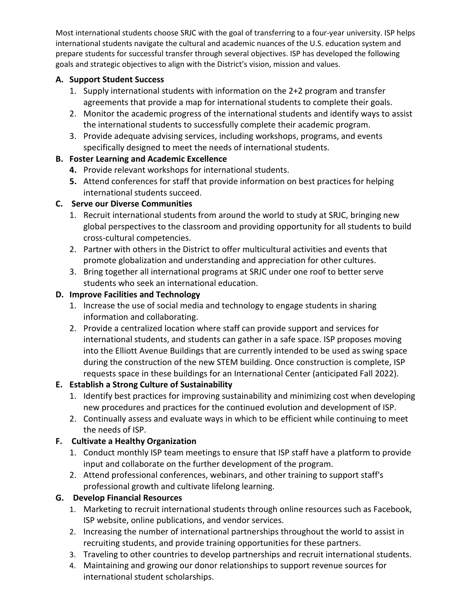Most international students choose SRJC with the goal of transferring to a four-year university. ISP helps international students navigate the cultural and academic nuances of the U.S. education system and prepare students for successful transfer through several objectives. ISP has developed the following goals and strategic objectives to align with the District's vision, mission and values.

### **A. Support Student Success**

- 1. Supply international students with information on the 2+2 program and transfer agreements that provide a map for international students to complete their goals.
- 2. Monitor the academic progress of the international students and identify ways to assist the international students to successfully complete their academic program.
- 3. Provide adequate advising services, including workshops, programs, and events specifically designed to meet the needs of international students.

### **B. Foster Learning and Academic Excellence**

- **4.** Provide relevant workshops for international students.
- **5.** Attend conferences for staff that provide information on best practices for helping international students succeed.

### **C. Serve our Diverse Communities**

- 1. Recruit international students from around the world to study at SRJC, bringing new global perspectives to the classroom and providing opportunity for all students to build cross-cultural competencies.
- 2. Partner with others in the District to offer multicultural activities and events that promote globalization and understanding and appreciation for other cultures.
- 3. Bring together all international programs at SRJC under one roof to better serve students who seek an international education.

### **D. Improve Facilities and Technology**

- 1. Increase the use of social media and technology to engage students in sharing information and collaborating.
- 2. Provide a centralized location where staff can provide support and services for international students, and students can gather in a safe space. ISP proposes moving into the Elliott Avenue Buildings that are currently intended to be used as swing space during the construction of the new STEM building. Once construction is complete, ISP requests space in these buildings for an International Center (anticipated Fall 2022).

### **E. Establish a Strong Culture of Sustainability**

- 1. Identify best practices for improving sustainability and minimizing cost when developing new procedures and practices for the continued evolution and development of ISP.
- 2. Continually assess and evaluate ways in which to be efficient while continuing to meet the needs of ISP.

### **F. Cultivate a Healthy Organization**

- 1. Conduct monthly ISP team meetings to ensure that ISP staff have a platform to provide input and collaborate on the further development of the program.
- 2. Attend professional conferences, webinars, and other training to support staff's professional growth and cultivate lifelong learning.

### **G. Develop Financial Resources**

- 1. Marketing to recruit international students through online resources such as Facebook, ISP website, online publications, and vendor services.
- 2. Increasing the number of international partnerships throughout the world to assist in recruiting students, and provide training opportunities for these partners.
- 3. Traveling to other countries to develop partnerships and recruit international students.
- 4. Maintaining and growing our donor relationships to support revenue sources for international student scholarships.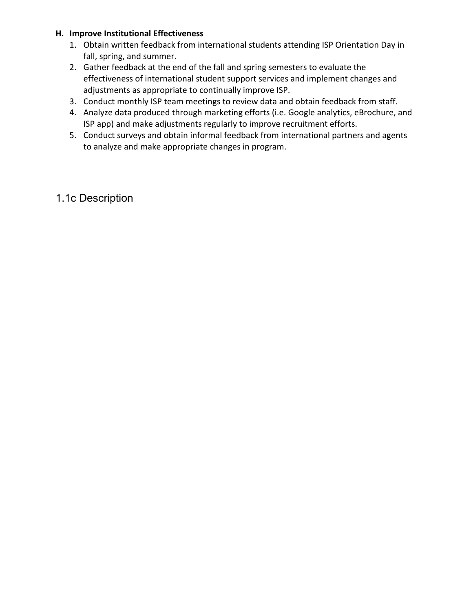#### **H. Improve Institutional Effectiveness**

- 1. Obtain written feedback from international students attending ISP Orientation Day in fall, spring, and summer.
- 2. Gather feedback at the end of the fall and spring semesters to evaluate the effectiveness of international student support services and implement changes and adjustments as appropriate to continually improve ISP.
- 3. Conduct monthly ISP team meetings to review data and obtain feedback from staff.
- 4. Analyze data produced through marketing efforts (i.e. Google analytics, eBrochure, and ISP app) and make adjustments regularly to improve recruitment efforts.
- 5. Conduct surveys and obtain informal feedback from international partners and agents to analyze and make appropriate changes in program.

# 1.1c Description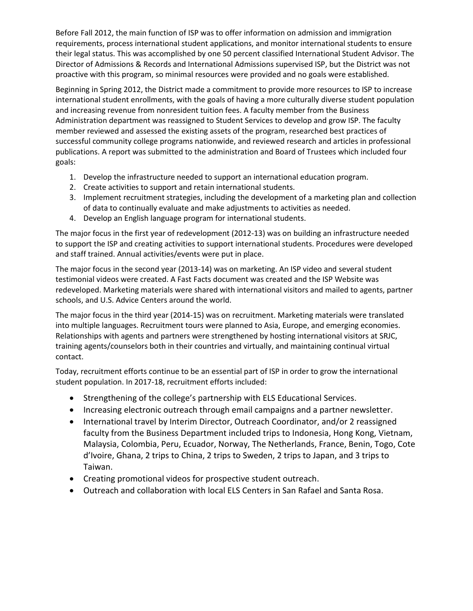Before Fall 2012, the main function of ISP was to offer information on admission and immigration requirements, process international student applications, and monitor international students to ensure their legal status. This was accomplished by one 50 percent classified International Student Advisor. The Director of Admissions & Records and International Admissions supervised ISP, but the District was not proactive with this program, so minimal resources were provided and no goals were established.

Beginning in Spring 2012, the District made a commitment to provide more resources to ISP to increase international student enrollments, with the goals of having a more culturally diverse student population and increasing revenue from nonresident tuition fees. A faculty member from the Business Administration department was reassigned to Student Services to develop and grow ISP. The faculty member reviewed and assessed the existing assets of the program, researched best practices of successful community college programs nationwide, and reviewed research and articles in professional publications. A report was submitted to the administration and Board of Trustees which included four goals:

- 1. Develop the infrastructure needed to support an international education program.
- 2. Create activities to support and retain international students.
- 3. Implement recruitment strategies, including the development of a marketing plan and collection of data to continually evaluate and make adjustments to activities as needed.
- 4. Develop an English language program for international students.

The major focus in the first year of redevelopment (2012-13) was on building an infrastructure needed to support the ISP and creating activities to support international students. Procedures were developed and staff trained. Annual activities/events were put in place.

The major focus in the second year (2013-14) was on marketing. An ISP video and several student testimonial videos were created. A Fast Facts document was created and the ISP Website was redeveloped. Marketing materials were shared with international visitors and mailed to agents, partner schools, and U.S. Advice Centers around the world.

The major focus in the third year (2014-15) was on recruitment. Marketing materials were translated into multiple languages. Recruitment tours were planned to Asia, Europe, and emerging economies. Relationships with agents and partners were strengthened by hosting international visitors at SRJC, training agents/counselors both in their countries and virtually, and maintaining continual virtual contact.

Today, recruitment efforts continue to be an essential part of ISP in order to grow the international student population. In 2017-18, recruitment efforts included:

- Strengthening of the college's partnership with ELS Educational Services.
- Increasing electronic outreach through email campaigns and a partner newsletter.
- International travel by Interim Director, Outreach Coordinator, and/or 2 reassigned faculty from the Business Department included trips to Indonesia, Hong Kong, Vietnam, Malaysia, Colombia, Peru, Ecuador, Norway, The Netherlands, France, Benin, Togo, Cote d'Ivoire, Ghana, 2 trips to China, 2 trips to Sweden, 2 trips to Japan, and 3 trips to Taiwan.
- Creating promotional videos for prospective student outreach.
- Outreach and collaboration with local ELS Centers in San Rafael and Santa Rosa.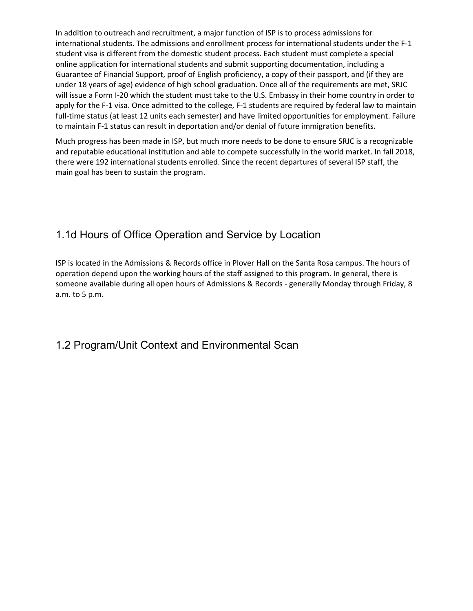In addition to outreach and recruitment, a major function of ISP is to process admissions for international students. The admissions and enrollment process for international students under the F-1 student visa is different from the domestic student process. Each student must complete a special online application for international students and submit supporting documentation, including a Guarantee of Financial Support, proof of English proficiency, a copy of their passport, and (if they are under 18 years of age) evidence of high school graduation. Once all of the requirements are met, SRJC will issue a Form I-20 which the student must take to the U.S. Embassy in their home country in order to apply for the F-1 visa. Once admitted to the college, F-1 students are required by federal law to maintain full-time status (at least 12 units each semester) and have limited opportunities for employment. Failure to maintain F-1 status can result in deportation and/or denial of future immigration benefits.

Much progress has been made in ISP, but much more needs to be done to ensure SRJC is a recognizable and reputable educational institution and able to compete successfully in the world market. In fall 2018, there were 192 international students enrolled. Since the recent departures of several ISP staff, the main goal has been to sustain the program.

# 1.1d Hours of Office Operation and Service by Location

ISP is located in the Admissions & Records office in Plover Hall on the Santa Rosa campus. The hours of operation depend upon the working hours of the staff assigned to this program. In general, there is someone available during all open hours of Admissions & Records - generally Monday through Friday, 8 a.m. to 5 p.m.

## 1.2 Program/Unit Context and Environmental Scan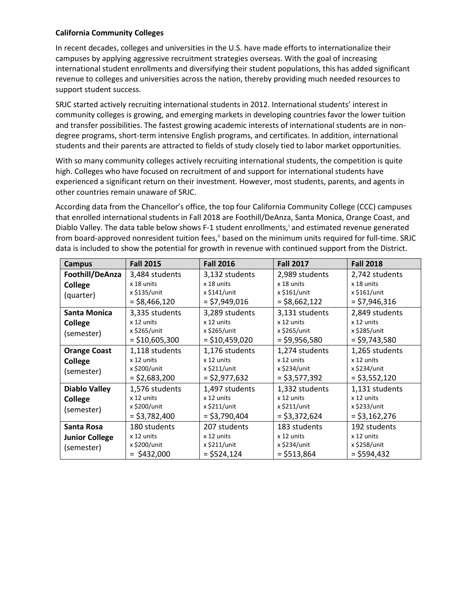#### **California Community Colleges**

In recent decades, colleges and universities in the U.S. have made efforts to internationalize their campuses by applying aggressive recruitment strategies overseas. With the goal of increasing international student enrollments and diversifying their student populations, this has added significant revenue to colleges and universities across the nation, thereby providing much needed resources to support student success.

SRJC started actively recruiting international students in 2012. International students' interest in community colleges is growing, and emerging markets in developing countries favor the lower tuition and transfer possibilities. The fastest growing academic interests of international students are in nondegree programs, short-term intensive English programs, and certificates. In addition, international students and their parents are attracted to fields of study closely tied to labor market opportunities.

With so many community colleges actively recruiting international students, the competition is quite high. Colleges who have focused on recruitment of and support for international students have experienced a significant return on their investment. However, most students, parents, and agents in other countries remain unaware of SRJC.

<span id="page-5-3"></span><span id="page-5-2"></span><span id="page-5-1"></span><span id="page-5-0"></span>According data from the Chancellor's office, the top four California Community College (CCC) campuses that enrolled international students in Fall 2018 are Foothill/DeAnza, Santa Monica, Orange Coast, and Diablo Valley. The data table below shows F-1 student enrollments, and estimated revenue generated from board-approved nonres[i](#page-5-1)dent tuition fees,<sup>ii</sup> based on the minimum units required for full-time. SRJC data is included to show the potential for growth in revenue with continued support from the District.

<span id="page-5-4"></span>

| <b>Campus</b>                                                                                                                                                                       | <b>Fall 2015</b>                                                                                 | <b>Fall 2016</b>                                                                  | <b>Fall 2017</b>                                                                  | <b>Fall 2018</b>                                                                  |  |
|-------------------------------------------------------------------------------------------------------------------------------------------------------------------------------------|--------------------------------------------------------------------------------------------------|-----------------------------------------------------------------------------------|-----------------------------------------------------------------------------------|-----------------------------------------------------------------------------------|--|
| Foothill/DeAnza<br>College<br>(quarter)<br><b>Santa Monica</b>                                                                                                                      | 3,484 students<br>x 18 units<br>x \$135/unit<br>$=$ \$8,466,120<br>3,335 students                | 3,132 students<br>x 18 units<br>x \$141/unit<br>$=$ \$7,949,016<br>3,289 students | 2,989 students<br>x 18 units<br>x \$161/unit<br>$=$ \$8,662,122<br>3,131 students | 2,742 students<br>x 18 units<br>x \$161/unit<br>$=$ \$7,946,316<br>2,849 students |  |
| <b>College</b><br>(semester)                                                                                                                                                        | x 12 units<br>x 12 units<br>x \$265/unit<br>x \$265/unit<br>$=$ \$10,605,300<br>$=$ \$10,459,020 |                                                                                   | x 12 units<br>x \$265/unit<br>$=$ \$9,956,580                                     | x 12 units<br>x \$285/unit<br>$=$ \$9,743,580                                     |  |
| <b>Orange Coast</b><br>College<br>(semester)                                                                                                                                        | 1,118 students<br>x 12 units<br>x \$200/unit<br>$=$ \$2,683,200                                  | 1,176 students<br>x 12 units<br>x \$211/unit<br>$=$ \$2,977,632                   | 1,274 students<br>x 12 units<br>x \$234/unit<br>$=$ \$3,577,392                   | 1,265 students<br>x 12 units<br>x \$234/unit<br>$=$ \$3,552,120                   |  |
| <b>Diablo Valley</b><br>1,576 students<br>1,497 students<br>x 12 units<br>x 12 units<br>College<br>x \$200/unit<br>x \$211/unit<br>(semester)<br>$=$ \$3,782,400<br>$=$ \$3,790,404 |                                                                                                  | 1,332 students<br>x 12 units<br>x \$211/unit<br>$=$ \$3,372,624                   | 1,131 students<br>x 12 units<br>x \$233/unit<br>$=$ \$3,162,276                   |                                                                                   |  |
| Santa Rosa<br><b>Junior College</b><br>(semester)                                                                                                                                   | 180 students<br>x 12 units<br>x \$200/unit<br>$=$ \$432,000                                      | 207 students<br>x 12 units<br>x \$211/unit<br>$=$ \$524,124                       | 183 students<br>x 12 units<br>x \$234/unit<br>$= $513,864$                        | 192 students<br>x 12 units<br>x \$258/unit<br>$=$ \$594,432                       |  |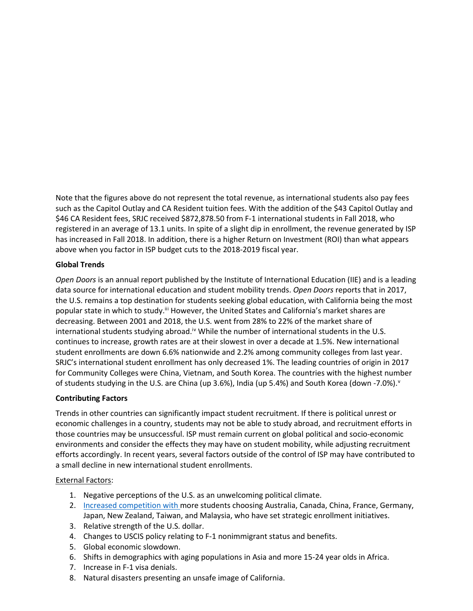Note that the figures above do not represent the total revenue, as international students also pay fees such as the Capitol Outlay and CA Resident tuition fees. With the addition of the \$43 Capitol Outlay and \$46 CA Resident fees, SRJC received \$872,878.50 from F-1 international students in Fall 2018, who registered in an average of 13.1 units. In spite of a slight dip in enrollment, the revenue generated by ISP has increased in Fall 2018. In addition, there is a higher Return on Investment (ROI) than what appears above when you factor in ISP budget cuts to the 2018-2019 fiscal year.

#### **Global Trends**

*Open Doors* is an annual report published by the Institute of International Education (IIE) and is a leading data source for international education and student mobility trends. *Open Doors* reports that in 2017, the U.S. remains a top destination for students seeking global education, with California being the most popular state [i](#page-5-2)n which to study.<sup>iii</sup> However, the United States and California's market shares are decreasing. Between 2001 and 2018, the U.S. went from 28% to 22% of the market share of international students studying abroad.<sup>i[v](#page-5-3)</sup> While the number of international students in the U.S. continues to increase, growth rates are at their slowest in over a decade at 1.5%. New international student enrollments are down 6.6% nationwide and 2.2% among community colleges from last year. SRJC's international student enrollment has only decreased 1%. The leading countries of origin in 2017 for Community Colleges were China, Vietnam, and South Korea. The countries with the highest number of students studying in the U.S. are China (up 3.6%), India (up 5.4%) and South Korea (down -7.0%).<sup>[v](#page-5-4)</sup>

#### **Contributing Factors**

Trends in other countries can significantly impact student recruitment. If there is political unrest or economic challenges in a country, students may not be able to study abroad, and recruitment efforts in those countries may be unsuccessful. ISP must remain current on global political and socio-economic environments and consider the effects they may have on student mobility, while adjusting recruitment efforts accordingly. In recent years, several factors outside of the control of ISP may have contributed to a small decline in new international student enrollments.

#### External Factors:

- 1. Negative perceptions of the U.S. as an unwelcoming political climate.
- 2. Increased competition with more students choosing Australia, Canada, China, France, Germany, Japan, New Zealand, Taiwan, and Malaysia, who have set strategic enrollment initiatives.
- 3. Relative strength of the U.S. dollar.
- 4. Changes to USCIS policy relating to F-1 nonimmigrant status and benefits.
- 5. Global economic slowdown.
- 6. Shifts in demographics with aging populations in Asia and more 15-24 year olds in Africa.
- 7. Increase in F-1 visa denials.
- 8. Natural disasters presenting an unsafe image of California.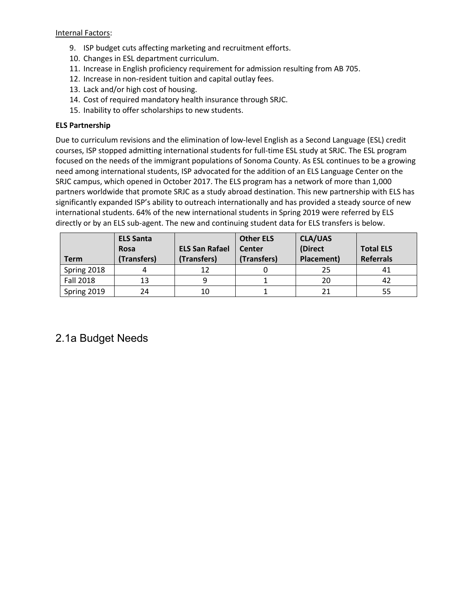#### Internal Factors:

- 9. ISP budget cuts affecting marketing and recruitment efforts.
- 10. Changes in ESL department curriculum.
- 11. Increase in English proficiency requirement for admission resulting from AB 705.
- 12. Increase in non-resident tuition and capital outlay fees.
- 13. Lack and/or high cost of housing.
- 14. Cost of required mandatory health insurance through SRJC.
- 15. Inability to offer scholarships to new students.

#### **ELS Partnership**

Due to curriculum revisions and the elimination of low-level English as a Second Language (ESL) credit courses, ISP stopped admitting international students for full-time ESL study at SRJC. The ESL program focused on the needs of the immigrant populations of Sonoma County. As ESL continues to be a growing need among international students, ISP advocated for the addition of an ELS Language Center on the SRJC campus, which opened in October 2017. The ELS program has a network of more than 1,000 partners worldwide that promote SRJC as a study abroad destination. This new partnership with ELS has significantly expanded ISP's ability to outreach internationally and has provided a steady source of new international students. 64% of the new international students in Spring 2019 were referred by ELS directly or by an ELS sub-agent. The new and continuing student data for ELS transfers is below.

|                  | <b>ELS Santa</b> |                       | <b>Other ELS</b> | <b>CLA/UAS</b> |                  |
|------------------|------------------|-----------------------|------------------|----------------|------------------|
|                  | <b>Rosa</b>      | <b>ELS San Rafael</b> | Center           | (Direct        | <b>Total ELS</b> |
| <b>Term</b>      | (Transfers)      | (Transfers)           | (Transfers)      | Placement)     | <b>Referrals</b> |
| Spring 2018      |                  | 12                    |                  | 25             | 41               |
| <b>Fall 2018</b> | 13               |                       |                  | 20             | 42               |
| Spring 2019      | 24               | 10                    |                  |                | 55               |

### 2.1a Budget Needs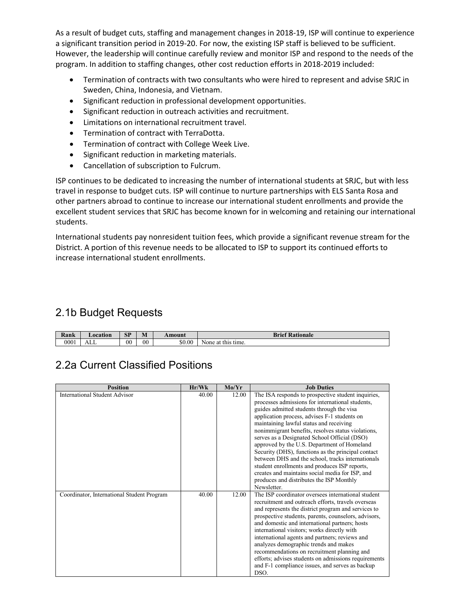As a result of budget cuts, staffing and management changes in 2018-19, ISP will continue to experience a significant transition period in 2019-20. For now, the existing ISP staff is believed to be sufficient. However, the leadership will continue carefully review and monitor ISP and respond to the needs of the program. In addition to staffing changes, other cost reduction efforts in 2018-2019 included:

- Termination of contracts with two consultants who were hired to represent and advise SRJC in Sweden, China, Indonesia, and Vietnam.
- Significant reduction in professional development opportunities.
- Significant reduction in outreach activities and recruitment.
- Limitations on international recruitment travel.
- Termination of contract with TerraDotta.
- Termination of contract with College Week Live.
- Significant reduction in marketing materials.
- Cancellation of subscription to Fulcrum.

ISP continues to be dedicated to increasing the number of international students at SRJC, but with less travel in response to budget cuts. ISP will continue to nurture partnerships with ELS Santa Rosa and other partners abroad to continue to increase our international student enrollments and provide the excellent student services that SRJC has become known for in welcoming and retaining our international students.

International students pay nonresident tuition fees, which provide a significant revenue stream for the District. A portion of this revenue needs to be allocated to ISP to support its continued efforts to increase international student enrollments.

# 2.1b Budget Requests

| Rank | <b>_ocation</b> | <b>SP</b> | $\rightarrow$<br>IVI | Amount | <b>f</b> Rationale<br><b>Brief</b> |
|------|-----------------|-----------|----------------------|--------|------------------------------------|
| 0001 | ALL             | 00        | $00\,$               | \$0.00 | None at this<br>™ time.            |

## 2.2a Current Classified Positions

| <b>Position</b>                            | Hr/Wk | Mo/Yr | <b>Job Duties</b>                                    |
|--------------------------------------------|-------|-------|------------------------------------------------------|
| <b>International Student Advisor</b>       | 40.00 | 12.00 | The ISA responds to prospective student inquiries,   |
|                                            |       |       | processes admissions for international students,     |
|                                            |       |       |                                                      |
|                                            |       |       | guides admitted students through the visa            |
|                                            |       |       | application process, advises F-1 students on         |
|                                            |       |       | maintaining lawful status and receiving              |
|                                            |       |       | nonimmigrant benefits, resolves status violations,   |
|                                            |       |       | serves as a Designated School Official (DSO)         |
|                                            |       |       | approved by the U.S. Department of Homeland          |
|                                            |       |       | Security (DHS), functions as the principal contact   |
|                                            |       |       | between DHS and the school, tracks internationals    |
|                                            |       |       | student enrollments and produces ISP reports,        |
|                                            |       |       | creates and maintains social media for ISP, and      |
|                                            |       |       | produces and distributes the ISP Monthly             |
|                                            |       |       | Newsletter                                           |
| Coordinator, International Student Program | 40.00 | 12.00 | The ISP coordinator oversees international student   |
|                                            |       |       | recruitment and outreach efforts, travels overseas   |
|                                            |       |       | and represents the district program and services to  |
|                                            |       |       | prospective students, parents, counselors, advisors, |
|                                            |       |       | and domestic and international partners; hosts       |
|                                            |       |       | international visitors; works directly with          |
|                                            |       |       | international agents and partners; reviews and       |
|                                            |       |       | analyzes demographic trends and makes                |
|                                            |       |       |                                                      |
|                                            |       |       | recommendations on recruitment planning and          |
|                                            |       |       | efforts; advises students on admissions requirements |
|                                            |       |       | and F-1 compliance issues, and serves as backup      |
|                                            |       |       | DSO.                                                 |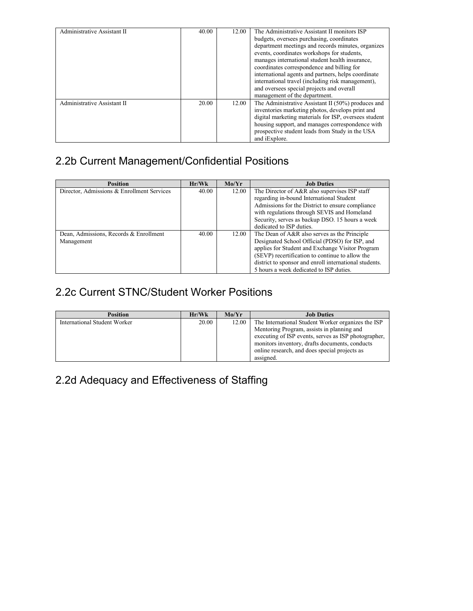| Administrative Assistant II | 40.00 | 12.00 | The Administrative Assistant II monitors ISP          |
|-----------------------------|-------|-------|-------------------------------------------------------|
|                             |       |       | budgets, oversees purchasing, coordinates             |
|                             |       |       | department meetings and records minutes, organizes    |
|                             |       |       | events, coordinates workshops for students,           |
|                             |       |       | manages international student health insurance.       |
|                             |       |       | coordinates correspondence and billing for            |
|                             |       |       | international agents and partners, helps coordinate   |
|                             |       |       | international travel (including risk management),     |
|                             |       |       | and oversees special projects and overall             |
|                             |       |       | management of the department.                         |
| Administrative Assistant II | 20.00 | 12.00 | The Administrative Assistant II $(50\%)$ produces and |
|                             |       |       | inventories marketing photos, develops print and      |
|                             |       |       | digital marketing materials for ISP, oversees student |
|                             |       |       | housing support, and manages correspondence with      |
|                             |       |       | prospective student leads from Study in the USA       |
|                             |       |       | and <i>i</i> Explore.                                 |

# 2.2b Current Management/Confidential Positions

| <b>Position</b>                            | Hr/Wk | Mo/Yr | <b>Job Duties</b>                                      |
|--------------------------------------------|-------|-------|--------------------------------------------------------|
| Director, Admissions & Enrollment Services | 40.00 | 12.00 | The Director of A&R also supervises ISP staff          |
|                                            |       |       | regarding in-bound International Student               |
|                                            |       |       | Admissions for the District to ensure compliance       |
|                                            |       |       | with regulations through SEVIS and Homeland            |
|                                            |       |       | Security, serves as backup DSO, 15 hours a week        |
|                                            |       |       | dedicated to ISP duties.                               |
| Dean, Admissions, Records & Enrollment     | 40.00 | 12.00 | The Dean of A&R also serves as the Principle           |
| Management                                 |       |       | Designated School Official (PDSO) for ISP, and         |
|                                            |       |       | applies for Student and Exchange Visitor Program       |
|                                            |       |       | (SEVP) recertification to continue to allow the        |
|                                            |       |       | district to sponsor and enroll international students. |
|                                            |       |       | 5 hours a week dedicated to ISP duties.                |

# 2.2c Current STNC/Student Worker Positions

| <b>Position</b>              | Hr/Wk | Mo/Yr | <b>Job Duties</b>                                    |
|------------------------------|-------|-------|------------------------------------------------------|
| International Student Worker | 20.00 | 12.00 | The International Student Worker organizes the ISP   |
|                              |       |       | Mentoring Program, assists in planning and           |
|                              |       |       | executing of ISP events, serves as ISP photographer, |
|                              |       |       | monitors inventory, drafts documents, conducts       |
|                              |       |       | online research, and does special projects as        |
|                              |       |       | assigned.                                            |

# 2.2d Adequacy and Effectiveness of Staffing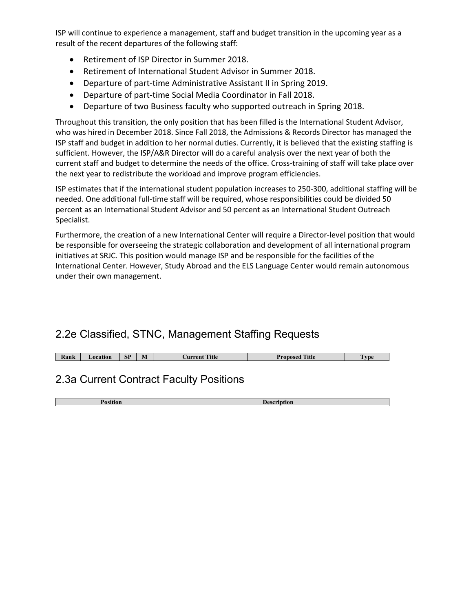ISP will continue to experience a management, staff and budget transition in the upcoming year as a result of the recent departures of the following staff:

- Retirement of ISP Director in Summer 2018.
- Retirement of International Student Advisor in Summer 2018.
- Departure of part-time Administrative Assistant II in Spring 2019.
- Departure of part-time Social Media Coordinator in Fall 2018.
- Departure of two Business faculty who supported outreach in Spring 2018.

Throughout this transition, the only position that has been filled is the International Student Advisor, who was hired in December 2018. Since Fall 2018, the Admissions & Records Director has managed the ISP staff and budget in addition to her normal duties. Currently, it is believed that the existing staffing is sufficient. However, the ISP/A&R Director will do a careful analysis over the next year of both the current staff and budget to determine the needs of the office. Cross-training of staff will take place over the next year to redistribute the workload and improve program efficiencies.

ISP estimates that if the international student population increases to 250-300, additional staffing will be needed. One additional full-time staff will be required, whose responsibilities could be divided 50 percent as an International Student Advisor and 50 percent as an International Student Outreach Specialist.

Furthermore, the creation of a new International Center will require a Director-level position that would be responsible for overseeing the strategic collaboration and development of all international program initiatives at SRJC. This position would manage ISP and be responsible for the facilities of the International Center. However, Study Abroad and the ELS Language Center would remain autonomous under their own management.

# 2.2e Classified, STNC, Management Staffing Requests

| CD<br>$\blacksquare$<br><b>Kank</b><br><b>_ocation</b><br><b>M</b><br>D. | <b>CONTRACT</b><br>ritle -<br><b>IIMMON1</b><br>еп | itle<br>0.000 | vpe |
|--------------------------------------------------------------------------|----------------------------------------------------|---------------|-----|
|                                                                          |                                                    |               |     |

# 2.3a Current Contract Faculty Positions

**Position Description**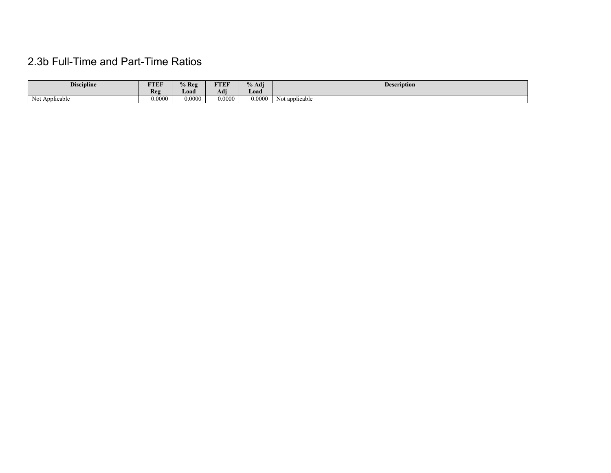# 2.3b Full-Time and Part-Time Ratios

| <b>Discipline</b> | FTEF   | $\%$ Reg | <b>FTEF</b> | % Adj  | <b>Description</b> |
|-------------------|--------|----------|-------------|--------|--------------------|
|                   | Reg    | Load     | Adı         | Load   |                    |
| Not Applicable    | 0.0000 | 0.0000   | 0.0000      | 0.0000 | Not applicable     |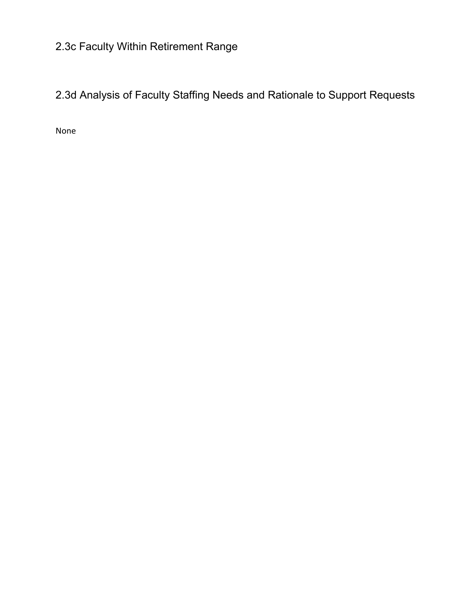# 2.3c Faculty Within Retirement Range

2.3d Analysis of Faculty Staffing Needs and Rationale to Support Requests

None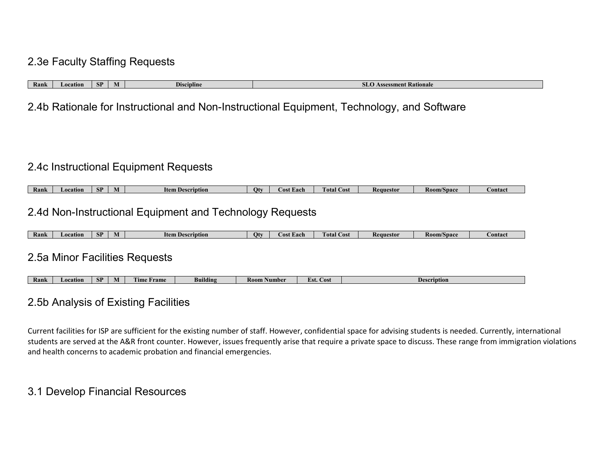## 2.3e Faculty Staffing Requests

| Kank | <b>A</b> ocation | сn<br>or | IVI | <b>eipline</b> | sment Rationale |
|------|------------------|----------|-----|----------------|-----------------|

2.4b Rationale for Instructional and Non-Instructional Equipment, Technology, and Software

### 2.4c Instructional Equipment Requests

| Rank | Location | CD<br>$\mathbf{C}$ | IVI | ttem<br>scription | и | - Each<br>A.OS. | $\mathcal{\_}0$ st $\top$<br>l otal ( | Requestor | <b>Room/Space</b> | <b>bontaci</b> |
|------|----------|--------------------|-----|-------------------|---|-----------------|---------------------------------------|-----------|-------------------|----------------|

## 2.4d Non-Instructional Equipment and Technology Requests

| Rank | ation<br>пла | <b>SP</b> | W | ltem l<br>scription | IJī | . Lach | otal<br>$\sim$<br>- USL - | Requestor | <b>Koom/Space</b> | <b>Contac</b> t |
|------|--------------|-----------|---|---------------------|-----|--------|---------------------------|-----------|-------------------|-----------------|

### 2.5a Minor Facilities Requests

| Ran | Location | <b>CD</b><br>$\mathbf{C}$ | M | <b><i><u>Frame</u></i></b><br><b>Ime</b> | Bm<br>uldıng | Number<br>K00M. | <b>Cost</b><br>LSt. | escription |
|-----|----------|---------------------------|---|------------------------------------------|--------------|-----------------|---------------------|------------|

### 2.5b Analysis of Existing Facilities

Current facilities for ISP are sufficient for the existing number of staff. However, confidential space for advising students is needed. Currently, international students are served at the A&R front counter. However, issues frequently arise that require a private space to discuss. These range from immigration violations and health concerns to academic probation and financial emergencies.

## 3.1 Develop Financial Resources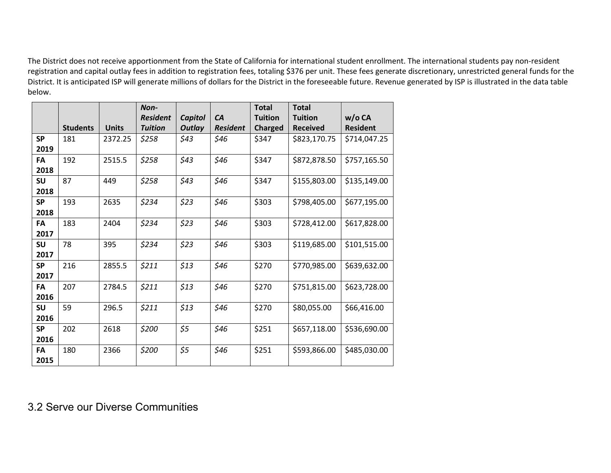The District does not receive apportionment from the State of California for international student enrollment. The international students pay non-resident registration and capital outlay fees in addition to registration fees, totaling \$376 per unit. These fees generate discretionary, unrestricted general funds for the District. It is anticipated ISP will generate millions of dollars for the District in the foreseeable future. Revenue generated by ISP is illustrated in the data table below.

|           |                 |              | Non-            |                |                 | <b>Total</b>   | <b>Total</b>    |                 |
|-----------|-----------------|--------------|-----------------|----------------|-----------------|----------------|-----------------|-----------------|
|           |                 |              | <b>Resident</b> | <b>Capitol</b> | CA              | <b>Tuition</b> | <b>Tuition</b>  | $w/o$ CA        |
|           | <b>Students</b> | <b>Units</b> | <b>Tuition</b>  | <b>Outlay</b>  | <b>Resident</b> | <b>Charged</b> | <b>Received</b> | <b>Resident</b> |
| <b>SP</b> | 181             | 2372.25      | \$258           | \$43           | \$46            | \$347          | \$823,170.75    | \$714,047.25    |
| 2019      |                 |              |                 |                |                 |                |                 |                 |
| FA        | 192             | 2515.5       | \$258           | \$43           | \$46            | \$347          | \$872,878.50    | \$757,165.50    |
| 2018      |                 |              |                 |                |                 |                |                 |                 |
| <b>SU</b> | 87              | 449          | \$258           | \$43           | \$46            | \$347          | \$155,803.00    | \$135,149.00    |
| 2018      |                 |              |                 |                |                 |                |                 |                 |
| <b>SP</b> | 193             | 2635         | \$234           | \$23           | \$46            | \$303          | \$798,405.00    | \$677,195.00    |
| 2018      |                 |              |                 |                |                 |                |                 |                 |
| <b>FA</b> | 183             | 2404         | \$234           | \$23           | \$46            | \$303          | \$728,412.00    | \$617,828.00    |
| 2017      |                 |              |                 |                |                 |                |                 |                 |
| <b>SU</b> | 78              | 395          | \$234           | \$23           | \$46            | \$303          | \$119,685.00    | \$101,515.00    |
| 2017      |                 |              |                 |                |                 |                |                 |                 |
| <b>SP</b> | 216             | 2855.5       | \$211           | \$13           | \$46            | \$270          | \$770,985.00    | \$639,632.00    |
| 2017      |                 |              |                 |                |                 |                |                 |                 |
| FA        | 207             | 2784.5       | \$211           | \$13           | \$46            | \$270          | \$751,815.00    | \$623,728.00    |
| 2016      |                 |              |                 |                |                 |                |                 |                 |
| <b>SU</b> | 59              | 296.5        | \$211           | \$13           | \$46            | \$270          | \$80,055.00     | \$66,416.00     |
| 2016      |                 |              |                 |                |                 |                |                 |                 |
| <b>SP</b> | 202             | 2618         | \$200           | \$5            | \$46            | \$251          | \$657,118.00    | \$536,690.00    |
| 2016      |                 |              |                 |                |                 |                |                 |                 |
| FA        | 180             | 2366         | \$200           | \$5            | \$46            | \$251          | \$593,866.00    | \$485,030.00    |
| 2015      |                 |              |                 |                |                 |                |                 |                 |

3.2 Serve our Diverse Communities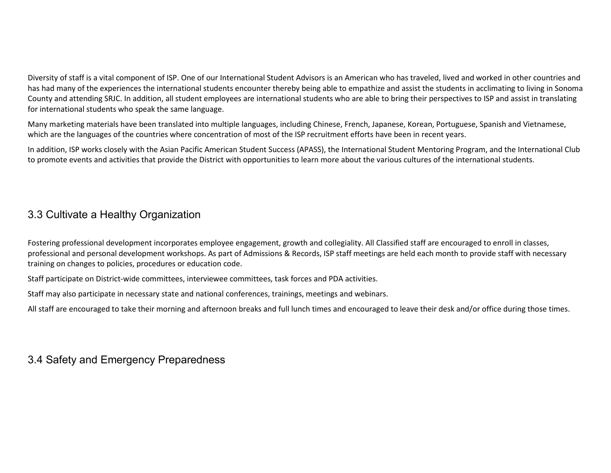Diversity of staff is a vital component of ISP. One of our International Student Advisors is an American who has traveled, lived and worked in other countries and has had many of the experiences the international students encounter thereby being able to empathize and assist the students in acclimating to living in Sonoma County and attending SRJC. In addition, all student employees are international students who are able to bring their perspectives to ISP and assist in translating for international students who speak the same language.

Many marketing materials have been translated into multiple languages, including Chinese, French, Japanese, Korean, Portuguese, Spanish and Vietnamese, which are the languages of the countries where concentration of most of the ISP recruitment efforts have been in recent years.

In addition, ISP works closely with the Asian Pacific American Student Success (APASS), the International Student Mentoring Program, and the International Club to promote events and activities that provide the District with opportunities to learn more about the various cultures of the international students.

## 3.3 Cultivate a Healthy Organization

Fostering professional development incorporates employee engagement, growth and collegiality. All Classified staff are encouraged to enroll in classes, professional and personal development workshops. As part of Admissions & Records, ISP staff meetings are held each month to provide staff with necessary training on changes to policies, procedures or education code.

Staff participate on District-wide committees, interviewee committees, task forces and PDA activities.

Staff may also participate in necessary state and national conferences, trainings, meetings and webinars.

All staff are encouraged to take their morning and afternoon breaks and full lunch times and encouraged to leave their desk and/or office during those times.

## 3.4 Safety and Emergency Preparedness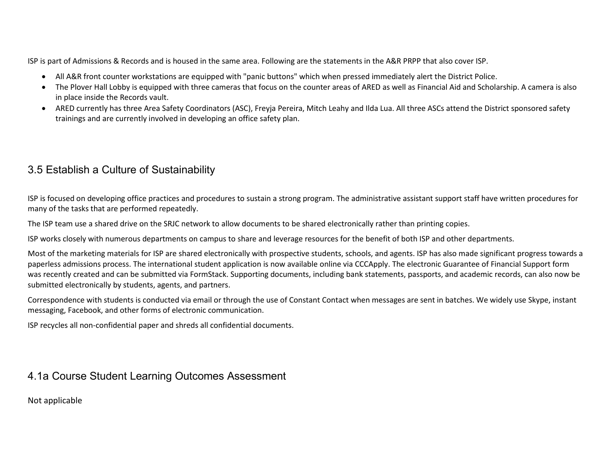ISP is part of Admissions & Records and is housed in the same area. Following are the statements in the A&R PRPP that also cover ISP.

- All A&R front counter workstations are equipped with "panic buttons" which when pressed immediately alert the District Police.
- The Plover Hall Lobby is equipped with three cameras that focus on the counter areas of ARED as well as Financial Aid and Scholarship. A camera is also in place inside the Records vault.
- ARED currently has three Area Safety Coordinators (ASC), Freyja Pereira, Mitch Leahy and Ilda Lua. All three ASCs attend the District sponsored safety trainings and are currently involved in developing an office safety plan.

# 3.5 Establish a Culture of Sustainability

ISP is focused on developing office practices and procedures to sustain a strong program. The administrative assistant support staff have written procedures for many of the tasks that are performed repeatedly.

The ISP team use a shared drive on the SRJC network to allow documents to be shared electronically rather than printing copies.

ISP works closely with numerous departments on campus to share and leverage resources for the benefit of both ISP and other departments.

Most of the marketing materials for ISP are shared electronically with prospective students, schools, and agents. ISP has also made significant progress towards a paperless admissions process. The international student application is now available online via CCCApply. The electronic Guarantee of Financial Support form was recently created and can be submitted via FormStack. Supporting documents, including bank statements, passports, and academic records, can also now be submitted electronically by students, agents, and partners.

Correspondence with students is conducted via email or through the use of Constant Contact when messages are sent in batches. We widely use Skype, instant messaging, Facebook, and other forms of electronic communication.

ISP recycles all non-confidential paper and shreds all confidential documents.

## 4.1a Course Student Learning Outcomes Assessment

Not applicable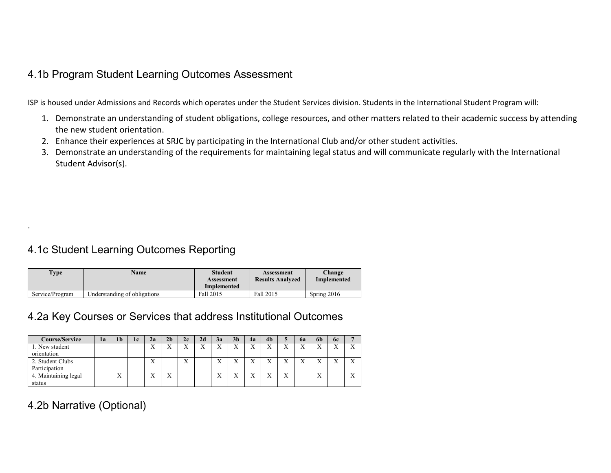## 4.1b Program Student Learning Outcomes Assessment

ISP is housed under Admissions and Records which operates under the Student Services division. Students in the International Student Program will:

- 1. Demonstrate an understanding of student obligations, college resources, and other matters related to their academic success by attending the new student orientation.
- 2. Enhance their experiences at SRJC by participating in the International Club and/or other student activities.
- 3. Demonstrate an understanding of the requirements for maintaining legal status and will communicate regularly with the International Student Advisor(s).

# 4.1c Student Learning Outcomes Reporting

| <b>Type</b>     | Name                         | <b>Student</b><br>Assessment<br>Implemented | Assessment<br><b>Results Analyzed</b> | Change<br>Implemented |
|-----------------|------------------------------|---------------------------------------------|---------------------------------------|-----------------------|
| Service/Program | Understanding of obligations | Fall 2015                                   | Fall 2015                             | Spring $2016$         |

# 4.2a Key Courses or Services that address Institutional Outcomes

| <b>Course/Service</b> | la | 1 <sub>b</sub> | 1c | 2a                        | 2 <sub>b</sub>    | 2c                | 2d           | 3a                        | 3 <sub>b</sub>    | 4a                | 4b                |                | 62               | 6h | <b>6c</b>         | -                |
|-----------------------|----|----------------|----|---------------------------|-------------------|-------------------|--------------|---------------------------|-------------------|-------------------|-------------------|----------------|------------------|----|-------------------|------------------|
| 1. New student        |    |                |    | $\mathbf{v}$<br>△         | $\mathbf{v}$<br>△ | ٦z<br>$\lambda$   | $\mathbf{v}$ | $\mathbf{v}$<br>$\lambda$ | $\mathbf{v}$<br>л | $\mathbf{v}$<br>л | $\mathbf{v}$<br>л | <b>x</b> 7     | v v<br>$\lambda$ |    | $\mathbf{x}$<br>△ | X                |
| orientation           |    |                |    |                           |                   |                   |              |                           |                   |                   |                   |                |                  |    |                   |                  |
| 2. Student Clubs      |    |                |    | $\mathbf{v}$<br>$\Lambda$ |                   | $\mathbf{v}$<br>∧ |              | $\Lambda$                 | $\mathbf{v}$      | $\mathbf{v}$<br>л | ٦Z                |                |                  |    | $\mathbf{x}$      | X                |
| Participation         |    |                |    |                           |                   |                   |              |                           |                   |                   |                   |                |                  |    |                   |                  |
| 4. Maintaining legal  |    | ۳z<br>л        |    | $\mathbf{v}$<br>$\Lambda$ | $\mathbf{v}$<br>л |                   |              | △                         | $\mathbf{v}$<br>л | $\mathbf{x}$<br>△ | ٦z                | v<br>$\lambda$ |                  | △  |                   | $\mathbf v$<br>A |
| status                |    |                |    |                           |                   |                   |              |                           |                   |                   |                   |                |                  |    |                   |                  |

# 4.2b Narrative (Optional)

.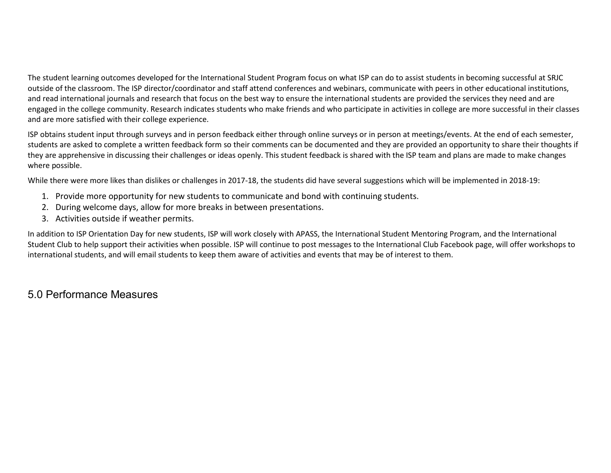The student learning outcomes developed for the International Student Program focus on what ISP can do to assist students in becoming successful at SRJC outside of the classroom. The ISP director/coordinator and staff attend conferences and webinars, communicate with peers in other educational institutions, and read international journals and research that focus on the best way to ensure the international students are provided the services they need and are engaged in the college community. Research indicates students who make friends and who participate in activities in college are more successful in their classes and are more satisfied with their college experience.

ISP obtains student input through surveys and in person feedback either through online surveys or in person at meetings/events. At the end of each semester, students are asked to complete a written feedback form so their comments can be documented and they are provided an opportunity to share their thoughts if they are apprehensive in discussing their challenges or ideas openly. This student feedback is shared with the ISP team and plans are made to make changes where possible.

While there were more likes than dislikes or challenges in 2017-18, the students did have several suggestions which will be implemented in 2018-19:

- 1. Provide more opportunity for new students to communicate and bond with continuing students.
- 2. During welcome days, allow for more breaks in between presentations.
- 3. Activities outside if weather permits.

In addition to ISP Orientation Day for new students, ISP will work closely with APASS, the International Student Mentoring Program, and the International Student Club to help support their activities when possible. ISP will continue to post messages to the International Club Facebook page, will offer workshops to international students, and will email students to keep them aware of activities and events that may be of interest to them.

# 5.0 Performance Measures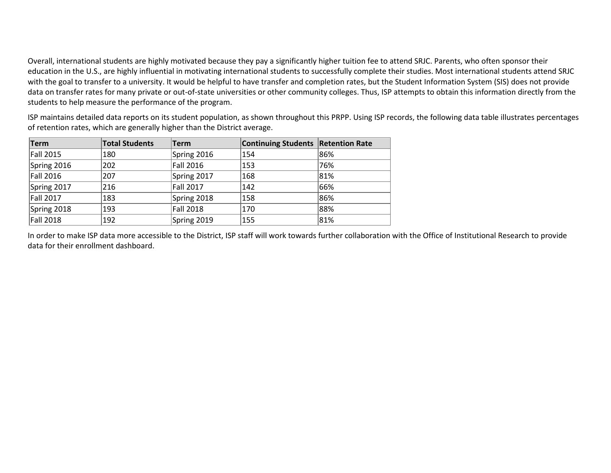Overall, international students are highly motivated because they pay a significantly higher tuition fee to attend SRJC. Parents, who often sponsor their education in the U.S., are highly influential in motivating international students to successfully complete their studies. Most international students attend SRJC with the goal to transfer to a university. It would be helpful to have transfer and completion rates, but the Student Information System (SIS) does not provide data on transfer rates for many private or out-of-state universities or other community colleges. Thus, ISP attempts to obtain this information directly from the students to help measure the performance of the program.

ISP maintains detailed data reports on its student population, as shown throughout this PRPP. Using ISP records, the following data table illustrates percentages of retention rates, which are generally higher than the District average.

| <b>Term</b>      | <b>Total Students</b> | Term             | <b>Continuing Students Retention Rate</b> |     |
|------------------|-----------------------|------------------|-------------------------------------------|-----|
| Fall 2015        | 180                   | Spring 2016      | 154                                       | 86% |
| Spring 2016      | 202                   | Fall 2016        | 153                                       | 76% |
| Fall 2016        | 207                   | Spring 2017      | 168                                       | 81% |
| Spring 2017      | 216                   | <b>Fall 2017</b> | 142                                       | 66% |
| <b>Fall 2017</b> | 183                   | Spring 2018      | 158                                       | 86% |
| Spring 2018      | 193                   | Fall 2018        | 170                                       | 88% |
| Fall 2018        | 192                   | Spring 2019      | 155                                       | 81% |

In order to make ISP data more accessible to the District, ISP staff will work towards further collaboration with the Office of Institutional Research to provide data for their enrollment dashboard.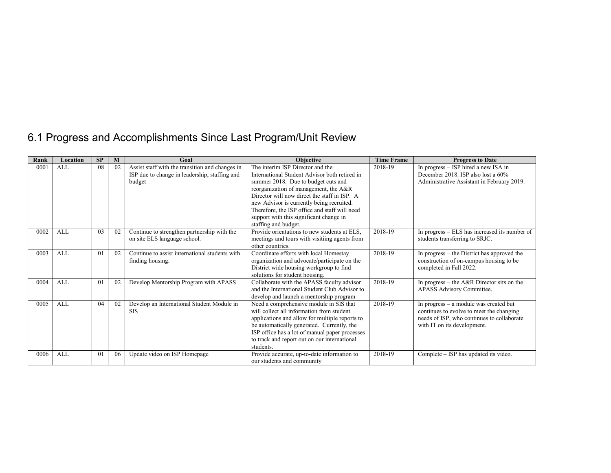# 6.1 Progress and Accomplishments Since Last Program/Unit Review

| Rank | Location   | SP             | M  | Goal                                                                                                       | <b>Objective</b>                                                                                                                                                                                                                                                                                                                                                                   | <b>Time Frame</b> | <b>Progress to Date</b>                                                                                                                                         |
|------|------------|----------------|----|------------------------------------------------------------------------------------------------------------|------------------------------------------------------------------------------------------------------------------------------------------------------------------------------------------------------------------------------------------------------------------------------------------------------------------------------------------------------------------------------------|-------------------|-----------------------------------------------------------------------------------------------------------------------------------------------------------------|
| 0001 | <b>ALL</b> | 08             | 02 | Assist staff with the transition and changes in<br>ISP due to change in leadership, staffing and<br>budget | The interim ISP Director and the<br>International Student Advisor both retired in<br>summer 2018. Due to budget cuts and<br>reorganization of management, the A&R<br>Director will now direct the staff in ISP. A<br>new Advisor is currently being recruited.<br>Therefore, the ISP office and staff will need<br>support with this significant change in<br>staffing and budget. | 2018-19           | In progress – ISP hired a new ISA in<br>December 2018. ISP also lost a 60%<br>Administrative Assistant in February 2019.                                        |
| 0002 | <b>ALL</b> | 03             | 02 | Continue to strengthen partnership with the<br>on site ELS language school.                                | Provide orientations to new students at ELS,<br>meetings and tours with visitiing agents from<br>other countries.                                                                                                                                                                                                                                                                  | 2018-19           | In progress – ELS has increased its number of<br>students transferring to SRJC.                                                                                 |
| 0003 | <b>ALL</b> | 0 <sub>1</sub> | 02 | Continue to assist international students with<br>finding housing.                                         | Coordinate efforts with local Homestay<br>organization and advocate/participate on the<br>District wide housing workgroup to find<br>solutions for student housing.                                                                                                                                                                                                                | 2018-19           | In progress – the District has approved the<br>construction of on-campus housing to be<br>completed in Fall 2022.                                               |
| 0004 | AI.        | 0 <sub>1</sub> | 02 | Develop Mentorship Program with APASS                                                                      | Collaborate with the APASS faculty advisor<br>and the International Student Club Advisor to<br>develop and launch a mentorship program                                                                                                                                                                                                                                             | 2018-19           | In progress – the $A\&R$ Director sits on the<br>APASS Advisory Committee.                                                                                      |
| 0005 | <b>ALL</b> | 04             | 02 | Develop an International Student Module in<br><b>SIS</b>                                                   | Need a comprehensive module in SIS that<br>will collect all information from student<br>applications and allow for multiple reports to<br>be automatically generated. Currently, the<br>ISP office has a lot of manual paper processes<br>to track and report out on our international<br>students.                                                                                | 2018-19           | In progress - a module was created but<br>continues to evolve to meet the changing<br>needs of ISP, who continues to collaborate<br>with IT on its development. |
| 0006 | ALL        | 01             | 06 | Update video on ISP Homepage                                                                               | Provide accurate, up-to-date information to<br>our students and community                                                                                                                                                                                                                                                                                                          | 2018-19           | Complete – ISP has updated its video.                                                                                                                           |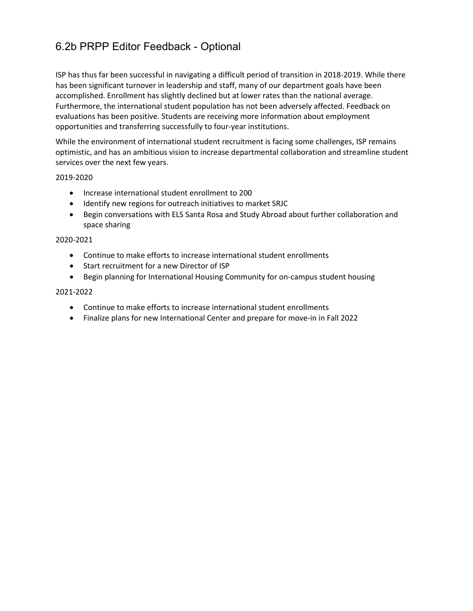# 6.2b PRPP Editor Feedback - Optional

ISP has thus far been successful in navigating a difficult period of transition in 2018-2019. While there has been significant turnover in leadership and staff, many of our department goals have been accomplished. Enrollment has slightly declined but at lower rates than the national average. Furthermore, the international student population has not been adversely affected. Feedback on evaluations has been positive. Students are receiving more information about employment opportunities and transferring successfully to four-year institutions.

While the environment of international student recruitment is facing some challenges, ISP remains optimistic, and has an ambitious vision to increase departmental collaboration and streamline student services over the next few years.

2019-2020

- Increase international student enrollment to 200
- Identify new regions for outreach initiatives to market SRJC
- Begin conversations with ELS Santa Rosa and Study Abroad about further collaboration and space sharing

#### 2020-2021

- Continue to make efforts to increase international student enrollments
- Start recruitment for a new Director of ISP
- Begin planning for International Housing Community for on-campus student housing

#### 2021-2022

- Continue to make efforts to increase international student enrollments
- Finalize plans for new International Center and prepare for move-in in Fall 2022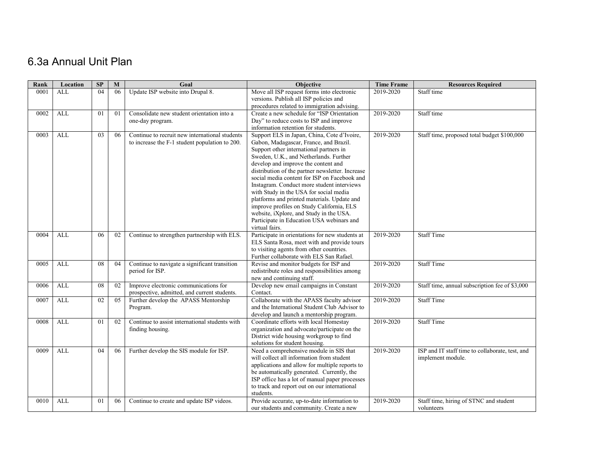# 6.3a Annual Unit Plan

| Rank | Location   | SP | $\mathbf{M}$ | Goal                                           | Objective                                                                                      | <b>Time Frame</b> | <b>Resources Required</b>                       |
|------|------------|----|--------------|------------------------------------------------|------------------------------------------------------------------------------------------------|-------------------|-------------------------------------------------|
| 0001 | <b>ALL</b> | 04 | 06           | Update ISP website into Drupal 8.              | Move all ISP request forms into electronic                                                     | 2019-2020         | Staff time                                      |
|      |            |    |              |                                                | versions. Publish all ISP policies and                                                         |                   |                                                 |
|      |            |    |              |                                                | procedures related to immigration advising.                                                    |                   |                                                 |
| 0002 | ALL        | 01 | 01           | Consolidate new student orientation into a     | Create a new schedule for "ISP Orientation                                                     | 2019-2020         | Staff time                                      |
|      |            |    |              | one-day program.                               | Day" to reduce costs to ISP and improve<br>information retention for students.                 |                   |                                                 |
| 0003 | ALL        | 03 | 06           | Continue to recruit new international students | Support ELS in Japan, China, Cote d'Ivoire,                                                    | 2019-2020         | Staff time, proposed total budget \$100,000     |
|      |            |    |              | to increase the F-1 student population to 200. | Gabon, Madagascar, France, and Brazil.                                                         |                   |                                                 |
|      |            |    |              |                                                | Support other international partners in                                                        |                   |                                                 |
|      |            |    |              |                                                | Sweden, U.K., and Netherlands. Further                                                         |                   |                                                 |
|      |            |    |              |                                                | develop and improve the content and                                                            |                   |                                                 |
|      |            |    |              |                                                | distribution of the partner newsletter. Increase                                               |                   |                                                 |
|      |            |    |              |                                                | social media content for ISP on Facebook and                                                   |                   |                                                 |
|      |            |    |              |                                                | Instagram. Conduct more student interviews<br>with Study in the USA for social media           |                   |                                                 |
|      |            |    |              |                                                | platforms and printed materials. Update and                                                    |                   |                                                 |
|      |            |    |              |                                                | improve profiles on Study California, ELS                                                      |                   |                                                 |
|      |            |    |              |                                                | website, iXplore, and Study in the USA.                                                        |                   |                                                 |
|      |            |    |              |                                                | Participate in Education USA webinars and                                                      |                   |                                                 |
|      |            |    |              |                                                | virtual fairs.                                                                                 |                   |                                                 |
| 0004 | <b>ALL</b> | 06 | 02           | Continue to strengthen partnership with ELS.   | Participate in orientations for new students at                                                | 2019-2020         | <b>Staff Time</b>                               |
|      |            |    |              |                                                | ELS Santa Rosa, meet with and provide tours<br>to visiting agents from other countries.        |                   |                                                 |
|      |            |    |              |                                                | Further collaborate with ELS San Rafael.                                                       |                   |                                                 |
| 0005 | <b>ALL</b> | 08 | 04           | Continue to navigate a significant transition  | Revise and monitor budgets for ISP and                                                         | 2019-2020         | <b>Staff Time</b>                               |
|      |            |    |              | period for ISP.                                | redistribute roles and responsibilities among                                                  |                   |                                                 |
|      |            |    |              |                                                | new and continuing staff.                                                                      |                   |                                                 |
| 0006 | ALL        | 08 | 02           | Improve electronic communications for          | Develop new email campaigns in Constant                                                        | 2019-2020         | Staff time, annual subscription fee of \$3,000  |
|      |            |    |              | prospective, admitted, and current students.   | Contact.                                                                                       |                   |                                                 |
| 0007 | <b>ALL</b> | 02 | 05           | Further develop the APASS Mentorship           | Collaborate with the APASS faculty advisor                                                     | 2019-2020         | <b>Staff Time</b>                               |
|      |            |    |              | Program.                                       | and the International Student Club Advisor to                                                  |                   |                                                 |
| 0008 | ALL        | 01 | 02           | Continue to assist international students with | develop and launch a mentorship program.<br>Coordinate efforts with local Homestay             | 2019-2020         | <b>Staff Time</b>                               |
|      |            |    |              | finding housing.                               | organization and advocate/participate on the                                                   |                   |                                                 |
|      |            |    |              |                                                | District wide housing workgroup to find                                                        |                   |                                                 |
|      |            |    |              |                                                | solutions for student housing.                                                                 |                   |                                                 |
| 0009 | <b>ALL</b> | 04 | 06           | Further develop the SIS module for ISP.        | Need a comprehensive module in SIS that                                                        | 2019-2020         | ISP and IT staff time to collaborate, test, and |
|      |            |    |              |                                                | will collect all information from student                                                      |                   | implement module.                               |
|      |            |    |              |                                                | applications and allow for multiple reports to                                                 |                   |                                                 |
|      |            |    |              |                                                | be automatically generated. Currently, the                                                     |                   |                                                 |
|      |            |    |              |                                                | ISP office has a lot of manual paper processes<br>to track and report out on our international |                   |                                                 |
|      |            |    |              |                                                | students.                                                                                      |                   |                                                 |
| 0010 | ALL        | 01 | 06           | Continue to create and update ISP videos.      | Provide accurate, up-to-date information to                                                    | 2019-2020         | Staff time, hiring of STNC and student          |
|      |            |    |              |                                                | our students and community. Create a new                                                       |                   | volunteers                                      |